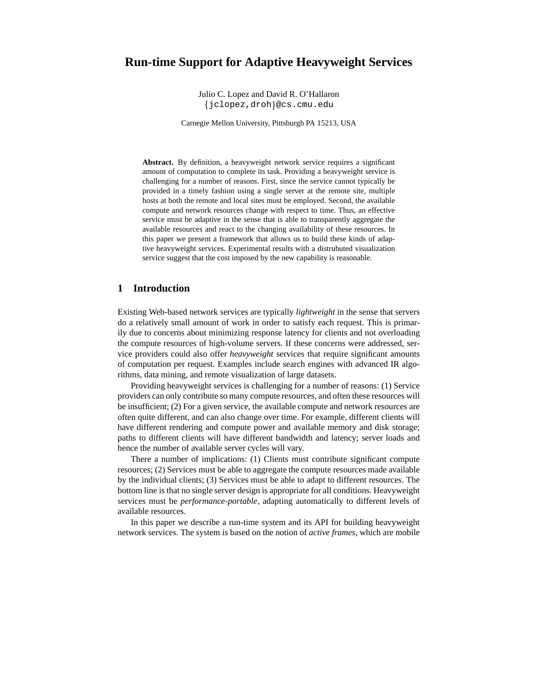# **Run-time Support for Adaptive Heavyweight Services**

Julio C. Lopez and David R. O'Hallaron jclopez,droh @cs.cmu.edu

Carnegie Mellon University, Pittsburgh PA 15213, USA

**Abstract.** By definition, a heavyweight network service requires a significant amount of computation to complete its task. Providing a heavyweight service is challenging for a number of reasons. First, since the service cannot typically be provided in a timely fashion using a single server at the remote site, multiple hosts at both the remote and local sites must be employed. Second, the available compute and network resources change with respect to time. Thus, an effective service must be adaptive in the sense that is able to transparently aggregate the available resources and react to the changing availability of these resources. In this paper we present a framework that allows us to build these kinds of adaptive heavyweight services. Experimental results with a distrubuted visualization service suggest that the cost imposed by the new capability is reasonable.

## **1 Introduction**

Existing Web-based network services are typically *lightweight* in the sense that servers do a relatively small amount of work in order to satisfy each request. This is primarily due to concerns about minimizing response latency for clients and not overloading the compute resources of high-volume servers. If these concerns were addressed, service providers could also offer *heavyweight* services that require significant amounts of computation per request. Examples include search engines with advanced IR algorithms, data mining, and remote visualization of large datasets.

Providing heavyweight services is challenging for a number of reasons: (1) Service providers can only contribute so many compute resources, and often these resources will be insufficient; (2) For a given service, the available compute and network resources are often quite different, and can also change over time. For example, different clients will have different rendering and compute power and available memory and disk storage; paths to different clients will have different bandwidth and latency; server loads and hence the number of available server cycles will vary.

There a number of implications: (1) Clients must contribute significant compute resources; (2) Services must be able to aggregate the compute resources made available by the individual clients; (3) Services must be able to adapt to different resources. The bottom line is that no single server design is appropriate for all conditions. Heavyweight services must be *performance-portable*, adapting automatically to different levels of available resources.

In this paper we describe a run-time system and its API for building heavyweight network services. The system is based on the notion of *active frames*, which are mobile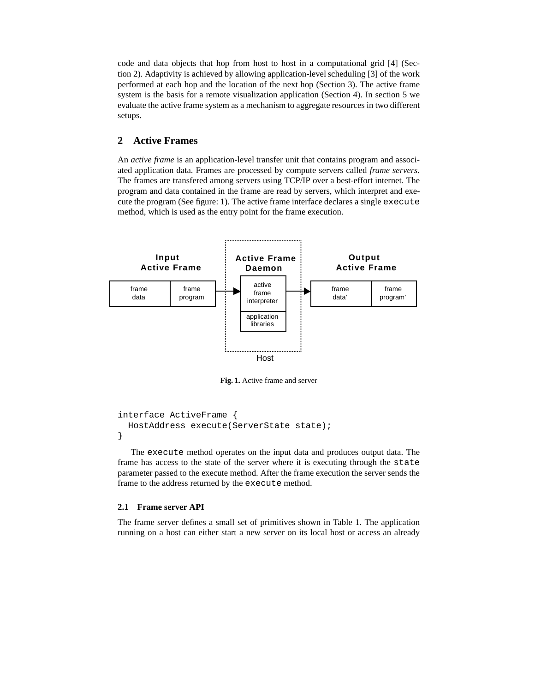code and data objects that hop from host to host in a computational grid [4] (Section 2). Adaptivity is achieved by allowing application-levelscheduling [3] of the work performed at each hop and the location of the next hop (Section 3). The active frame system is the basis for a remote visualization application (Section 4). In section 5 we evaluate the active frame system as a mechanism to aggregate resources in two different setups.

# **2 Active Frames**

An *active frame* is an application-level transfer unit that contains program and associated application data. Frames are processed by compute servers called *frame servers*. The frames are transfered among servers using TCP/IP over a best-effort internet. The program and data contained in the frame are read by servers, which interpret and execute the program (See figure: 1). The active frame interface declares a single execute method, which is used as the entry point for the frame execution.



**Fig. 1.** Active frame and server

```
interface ActiveFrame {
 HostAddress execute(ServerState state);
}
```
The execute method operates on the input data and produces output data. The frame has access to the state of the server where it is executing through the state parameter passed to the execute method. After the frame execution the server sends the frame to the address returned by the execute method.

### **2.1 Frame server API**

The frame server defines a small set of primitives shown in Table 1. The application running on a host can either start a new server on its local host or access an already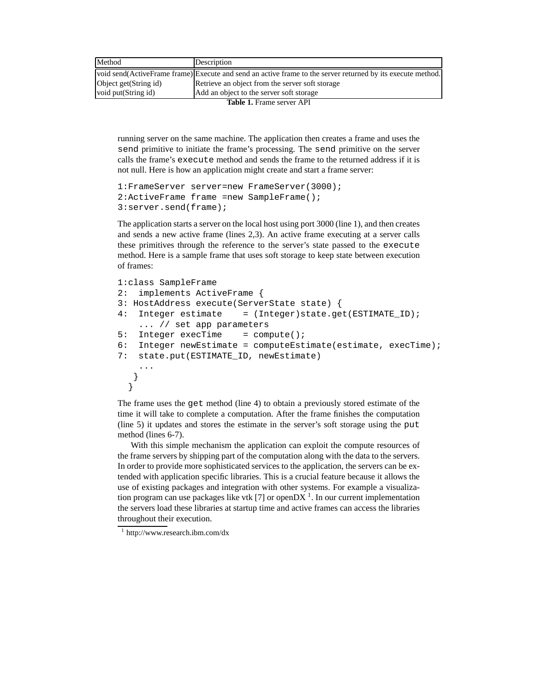| Method                           | Description                                                                                                 |  |  |  |
|----------------------------------|-------------------------------------------------------------------------------------------------------------|--|--|--|
|                                  | void send(ActiveFrame frame) Execute and send an active frame to the server returned by its execute method. |  |  |  |
| Object get(String id)            | Retrieve an object from the server soft storage                                                             |  |  |  |
| void put (String id)             | Add an object to the server soft storage                                                                    |  |  |  |
| <b>Table 1.</b> Frame server API |                                                                                                             |  |  |  |

running server on the same machine. The application then creates a frame and uses the send primitive to initiate the frame's processing. The send primitive on the server calls the frame's execute method and sends the frame to the returned address if it is not null. Here is how an application might create and start a frame server:

```
1:FrameServer server=new FrameServer(3000);
2:ActiveFrame frame =new SampleFrame();
3:server.send(frame);
```
The application starts a server on the local host using port 3000 (line 1), and then creates and sends a new active frame (lines 2,3). An active frame executing at a server calls these primitives through the reference to the server's state passed to the execute method. Here is a sample frame that uses soft storage to keep state between execution of frames:

```
1:class SampleFrame
2: implements ActiveFrame {
3: HostAddress execute(ServerState state) {
4: Integer estimate = (Integer)state.get(ESTIMATE ID);
   ... // set app parameters
5: Integer execTime = compute();
6: Integer newEstimate = computeEstimate(estimate, execTime);
7: state.put(ESTIMATE_ID, newEstimate)
    ...
  }
  }
```
The frame uses the get method (line 4) to obtain a previously stored estimate of the time it will take to complete a computation. After the frame finishes the computation (line 5) it updates and stores the estimate in the server's soft storage using the put method (lines 6-7).

With this simple mechanism the application can exploit the compute resources of the frame servers by shipping part of the computation along with the data to the servers. In order to provide more sophisticated services to the application, the servers can be extended with application specific libraries. This is a crucial feature because it allows the use of existing packages and integration with other systems. For example a visualization program can use packages like vtk [7] or open $DX<sup>1</sup>$ . In our current implementation the servers load these libraries at startup time and active frames can access the libraries throughout their execution.

<sup>1</sup> http://www.research.ibm.com/dx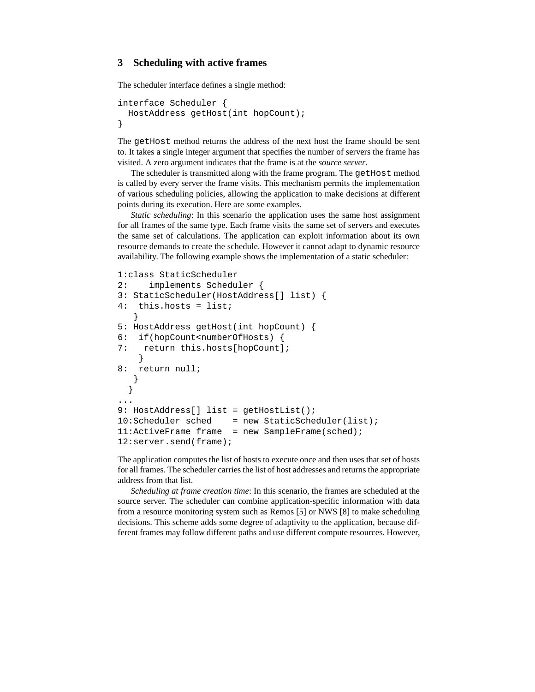# **3 Scheduling with active frames**

The scheduler interface defines a single method:

```
interface Scheduler {
 HostAddress getHost(int hopCount);
}
```
The getHost method returns the address of the next host the frame should be sent to. It takes a single integer argument that specifies the number of servers the frame has visited. A zero argument indicates that the frame is at the *source server*.

The scheduler is transmitted along with the frame program. The getHost method is called by every server the frame visits. This mechanism permits the implementation of various scheduling policies, allowing the application to make decisions at different points during its execution. Here are some examples.

*Static scheduling*: In this scenario the application uses the same host assignment for all frames of the same type. Each frame visits the same set of servers and executes the same set of calculations. The application can exploit information about its own resource demands to create the schedule. However it cannot adapt to dynamic resource availability. The following example shows the implementation of a static scheduler:

```
1:class StaticScheduler
2: implements Scheduler {
3: StaticScheduler(HostAddress[] list) {
4: this.hosts = list;
   }
5: HostAddress getHost(int hopCount) {
6: if(hopCount<numberOfHosts) {
7: return this.hosts[hopCount];
    }
8: return null;
   }
  }
...
9: HostAddress[] list = getHostList();
10:Scheduler sched = new StaticScheduler(list);
11: ActiveFrame frame = new SampleFrame(sched);
12: server.send(frame);
```
The application computes the list of hosts to execute once and then uses that set of hosts for all frames. The scheduler carries the list of host addresses and returns the appropriate address from that list.

*Scheduling at frame creation time*: In this scenario, the frames are scheduled at the source server. The scheduler can combine application-specific information with data from a resource monitoring system such as Remos [5] or NWS [8] to make scheduling decisions. This scheme adds some degree of adaptivity to the application, because different frames may follow different paths and use different compute resources. However,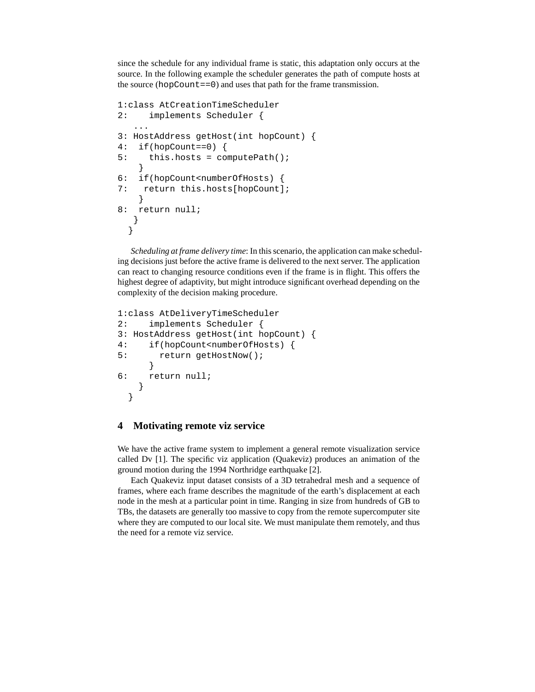since the schedule for any individual frame is static, this adaptation only occurs at the source. In the following example the scheduler generates the path of compute hosts at the source (hopCount==0) and uses that path for the frame transmission.

```
1:class AtCreationTimeScheduler
2: implements Scheduler {
   ...
3: HostAddress getHost(int hopCount) {
4: if(hopCount==0) {
5: this.hosts = computePath();
    }
6: if(hopCount<numberOfHosts) {
7: return this.hosts[hopCount];
    }
8: return null;
   }
  }
```
*Scheduling at frame delivery time*: In thisscenario, the application can make scheduling decisions just before the active frame is delivered to the next server. The application can react to changing resource conditions even if the frame is in flight. This offers the highest degree of adaptivity, but might introduce significant overhead depending on the complexity of the decision making procedure.

```
1:class AtDeliveryTimeScheduler
2: implements Scheduler {
3: HostAddress getHost(int hopCount) {
4: if(hopCount<numberOfHosts) {
5: return getHostNow();
     }
6: return null;
    }
  }
```
## **4 Motivating remote viz service**

We have the active frame system to implement a general remote visualization service called Dv [1]. The specific viz application (Quakeviz) produces an animation of the ground motion during the 1994 Northridge earthquake [2].

Each Quakeviz input dataset consists of a 3D tetrahedral mesh and a sequence of frames, where each frame describes the magnitude of the earth's displacement at each node in the mesh at a particular point in time. Ranging in size from hundreds of GB to TBs, the datasets are generally too massive to copy from the remote supercomputer site where they are computed to our local site. We must manipulate them remotely, and thus the need for a remote viz service.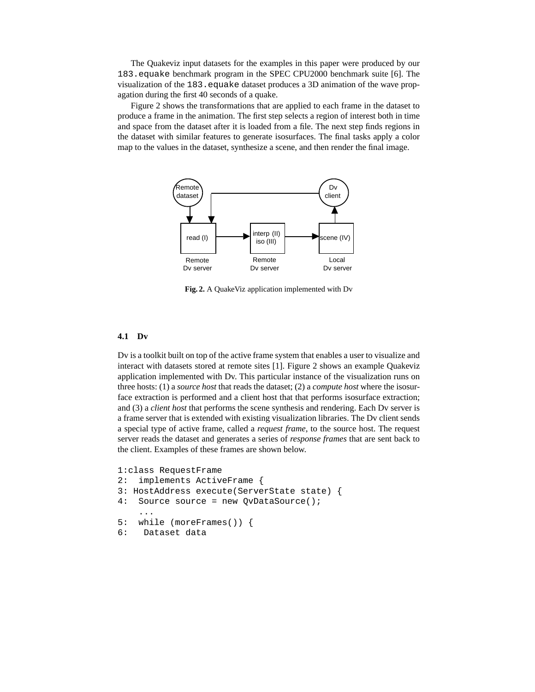The Quakeviz input datasets for the examples in this paper were produced by our 183.equake benchmark program in the SPEC CPU2000 benchmark suite [6]. The visualization of the 183.equake dataset produces a 3D animation of the wave propagation during the first 40 seconds of a quake.

Figure 2 shows the transformations that are applied to each frame in the dataset to produce a frame in the animation. The first step selects a region of interest both in time and space from the dataset after it is loaded from a file. The next step finds regions in the dataset with similar features to generate isosurfaces. The final tasks apply a color map to the values in the dataset, synthesize a scene, and then render the final image.



**Fig. 2.** A QuakeViz application implemented with Dv

### **4.1 Dv**

Dv is a toolkit built on top of the active frame system that enables a user to visualize and interact with datasets stored at remote sites [1]. Figure 2 shows an example Quakeviz application implemented with Dv. This particular instance of the visualization runs on three hosts: (1) a *source host* that reads the dataset; (2) a *compute host* where the isosurface extraction is performed and a client host that that performs isosurface extraction; and (3) a *client host* that performs the scene synthesis and rendering. Each Dv server is a frame server that is extended with existing visualization libraries. The Dv client sends a special type of active frame, called a *request frame*, to the source host. The request server reads the dataset and generates a series of *response frames* that are sent back to the client. Examples of these frames are shown below.

```
1:class RequestFrame
2: implements ActiveFrame {
3: HostAddress execute(ServerState state) {
4: Source source = new QvDataSource();
    ...
5: while (moreFrames()) {
6: Dataset data
```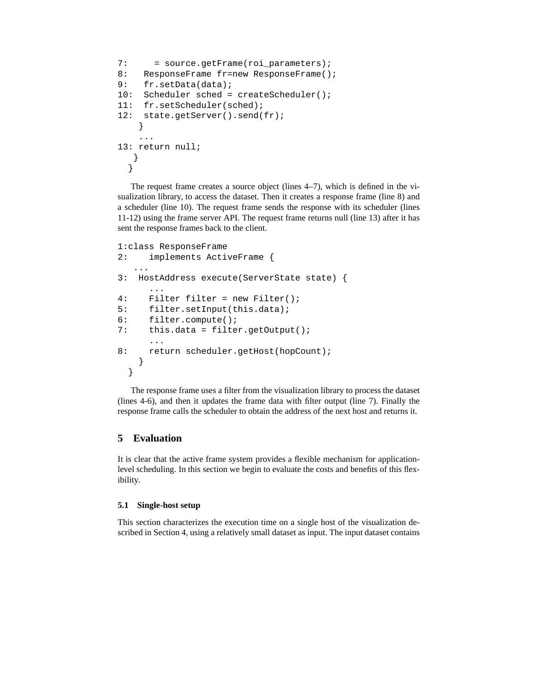```
7: = source.getFrame(roi_parameters);
8: ResponseFrame fr=new ResponseFrame();
9: fr.setData(data);
10: Scheduler sched = createScheduler();
11: fr.setScheduler(sched);
12: state.getServer().send(fr);
    }
    ...
13: return null;
   }
  }
```
The request frame creates a source object (lines 4–7), which is defined in the visualization library, to access the dataset. Then it creates a response frame (line 8) and a scheduler (line 10). The request frame sends the response with its scheduler (lines 11-12) using the frame server API. The request frame returns null (line 13) after it has sent the response frames back to the client.

```
1:class ResponseFrame
2: implements ActiveFrame {
   ...
3: HostAddress execute(ServerState state) {
     ...
4: Filter filter = new Filter();
5: filter.setInput(this.data);
6: filter.compute();
7: this.data = filter.getOutput();
      ...
8: return scheduler.getHost(hopCount);
   }
 }
```
The response frame uses a filter from the visualization library to process the dataset (lines 4-6), and then it updates the frame data with filter output (line 7). Finally the response frame calls the scheduler to obtain the address of the next host and returns it.

# **5 Evaluation**

It is clear that the active frame system provides a flexible mechanism for applicationlevel scheduling. In this section we begin to evaluate the costs and benefits of this flexibility.

## **5.1 Single-host setup**

This section characterizes the execution time on a single host of the visualization described in Section 4, using a relatively small dataset as input. The input dataset contains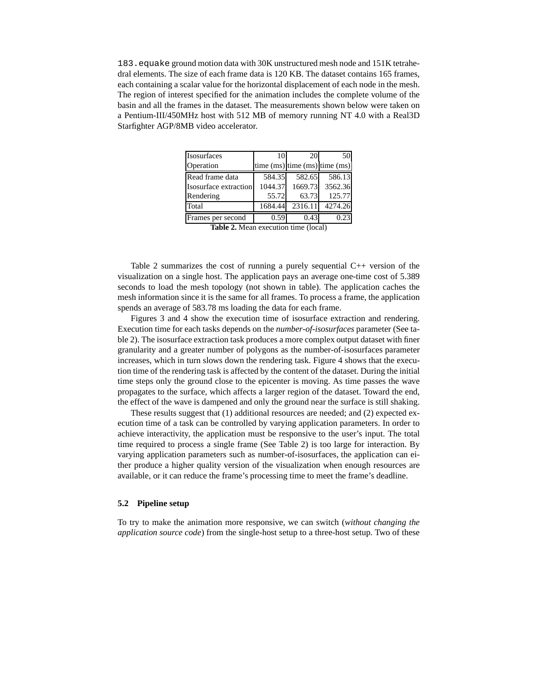183.equake ground motion data with 30K unstructured mesh node and 151K tetrahedral elements. The size of each frame data is 120 KB. The dataset contains 165 frames, each containing a scalar value for the horizontal displacement of each node in the mesh. The region of interest specified for the animation includes the complete volume of the basin and all the frames in the dataset. The measurements shown below were taken on a Pentium-III/450MHz host with 512 MB of memory running NT 4.0 with a Real3D Starfighter AGP/8MB video accelerator.

| 10                    |         | 50                                                                                                                                                      |
|-----------------------|---------|---------------------------------------------------------------------------------------------------------------------------------------------------------|
|                       |         |                                                                                                                                                         |
|                       |         | 586.13                                                                                                                                                  |
| Isosurface extraction |         | 3562.36                                                                                                                                                 |
|                       |         | 125.77                                                                                                                                                  |
|                       | 2316.11 | 4274.26                                                                                                                                                 |
| 0.59                  | 0.43    | 0.23                                                                                                                                                    |
|                       |         | 20<br>time $(ms)$ time $(ms)$ time $(ms)$<br>584.35<br>582.65<br>1044.37<br>1669.73<br>55.72<br>63.73<br>1684.44<br>Toble 2 Moon avecution time (local) |

**Table 2.** Mean execution time (local)

Table 2 summarizes the cost of running a purely sequential C++ version of the visualization on a single host. The application pays an average one-time cost of 5.389 seconds to load the mesh topology (not shown in table). The application caches the mesh information since it is the same for all frames. To process a frame, the application spends an average of 583.78 ms loading the data for each frame.

Figures 3 and 4 show the execution time of isosurface extraction and rendering. Execution time for each tasks depends on the *number-of-isosurfaces* parameter (See table 2). The isosurface extraction task produces a more complex output dataset with finer granularity and a greater number of polygons as the number-of-isosurfaces parameter increases, which in turn slows down the rendering task. Figure 4 shows that the execution time of the rendering task is affected by the content of the dataset. During the initial time steps only the ground close to the epicenter is moving. As time passes the wave propagates to the surface, which affects a larger region of the dataset. Toward the end, the effect of the wave is dampened and only the ground near the surface is still shaking.

These results suggest that (1) additional resources are needed; and (2) expected execution time of a task can be controlled by varying application parameters. In order to achieve interactivity, the application must be responsive to the user's input. The total time required to process a single frame (See Table 2) is too large for interaction. By varying application parameters such as number-of-isosurfaces, the application can either produce a higher quality version of the visualization when enough resources are available, or it can reduce the frame's processing time to meet the frame's deadline.

#### **5.2 Pipeline setup**

To try to make the animation more responsive, we can switch (*without changing the application source code*) from the single-host setup to a three-host setup. Two of these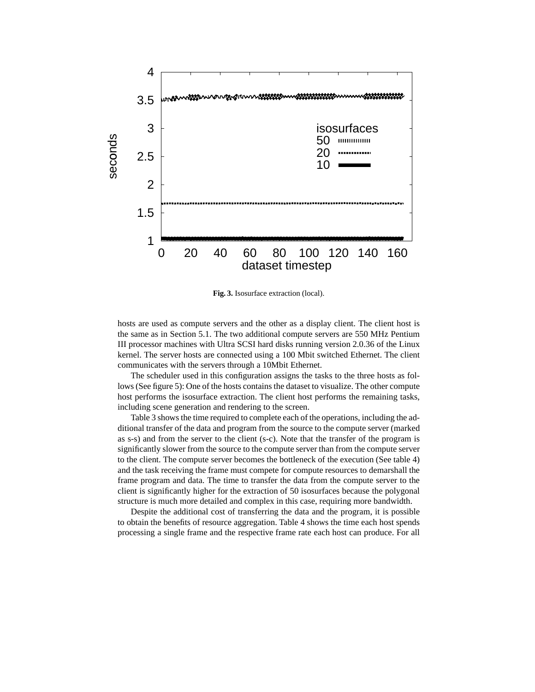

**Fig. 3.** Isosurface extraction (local).

hosts are used as compute servers and the other as a display client. The client host is the same as in Section 5.1. The two additional compute servers are 550 MHz Pentium III processor machines with Ultra SCSI hard disks running version 2.0.36 of the Linux kernel. The server hosts are connected using a 100 Mbit switched Ethernet. The client communicates with the servers through a 10Mbit Ethernet.

The scheduler used in this configuration assigns the tasks to the three hosts as follows(See figure 5): One of the hosts contains the dataset to visualize. The other compute host performs the isosurface extraction. The client host performs the remaining tasks, including scene generation and rendering to the screen.

Table 3 shows the time required to complete each of the operations, including the additional transfer of the data and program from the source to the compute server (marked as s-s) and from the server to the client (s-c). Note that the transfer of the program is significantly slower from the source to the compute server than from the compute server to the client. The compute server becomes the bottleneck of the execution (See table 4) and the task receiving the frame must compete for compute resources to demarshall the frame program and data. The time to transfer the data from the compute server to the client is significantly higher for the extraction of 50 isosurfaces because the polygonal structure is much more detailed and complex in this case, requiring more bandwidth.

Despite the additional cost of transferring the data and the program, it is possible to obtain the benefits of resource aggregation. Table 4 shows the time each host spends processing a single frame and the respective frame rate each host can produce. For all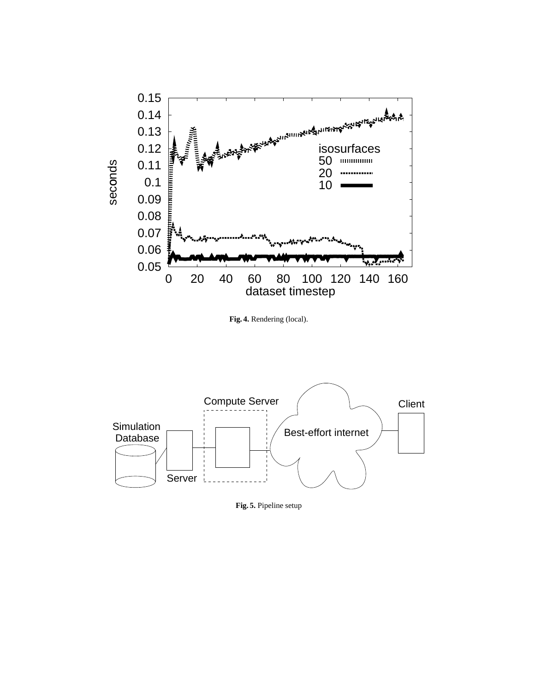

**Fig. 4.** Rendering (local).



**Fig. 5.** Pipeline setup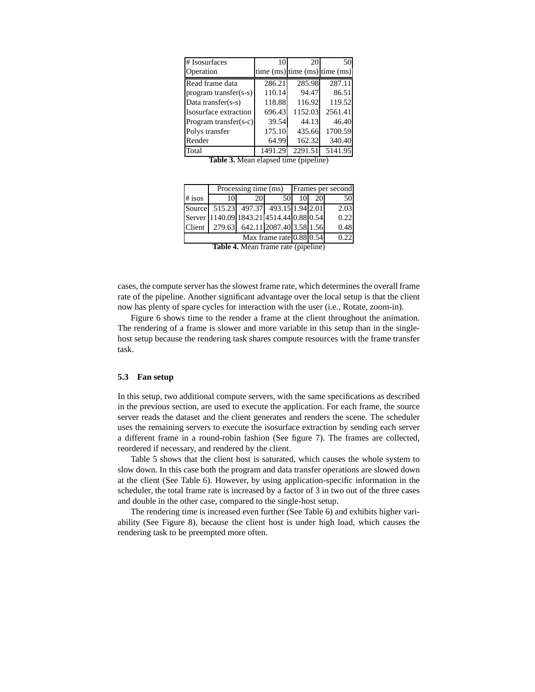| # Isosurfaces            | 10      | 20      | 50                                  |
|--------------------------|---------|---------|-------------------------------------|
| Operation                |         |         | time $(ms)$ time $(ms)$ time $(ms)$ |
| Read frame data          | 286.21  | 285.98  | 287.11                              |
| program transfer(s-s)    | 110.14  | 94.47   | 86.51                               |
| Data transfer(s-s)       | 118.88  | 116.92  | 119.52                              |
| Isosurface extraction    | 696.43  | 1152.03 | 2561.41                             |
| Program transfer $(s-c)$ | 39.54   | 44.13   | 46.40                               |
| Polys transfer           | 175.10  | 435.66  | 1700.59                             |
| Render                   | 64.99   | 162.32  | 340.40                              |
| Total                    | 1491.29 | 2291.51 | 5141.95                             |

**Table 3.** Mean elapsed time (pipeline)

|                                  | Processing time (ms)                     |     |                                 |           | Frames per second |
|----------------------------------|------------------------------------------|-----|---------------------------------|-----------|-------------------|
| $#$ isos                         | 101                                      | 20I | 50I                             | <b>20</b> | 50                |
|                                  | Source 515.23 497.37 493.15 1.94 2.01    |     |                                 |           | 2.03              |
|                                  | Server 1140.09 1843.21 4514.44 0.88 0.54 |     |                                 |           | 0.22              |
| Client 1                         |                                          |     | 279.63 642.11 2087.40 3.58 1.56 |           | 0.48              |
| Max frame rate $0.88\sqrt{0.54}$ |                                          |     |                                 | 0.22      |                   |

| <b>Table 4.</b> Mean frame rate (pipeline) |
|--------------------------------------------|
|--------------------------------------------|

cases, the compute server has the slowest frame rate, which determines the overall frame rate of the pipeline. Another significant advantage over the local setup is that the client now has plenty of spare cycles for interaction with the user (i.e., Rotate, zoom-in).

Figure 6 shows time to the render a frame at the client throughout the animation. The rendering of a frame is slower and more variable in this setup than in the singlehost setup because the rendering task shares compute resources with the frame transfer task.

#### **5.3 Fan setup**

In this setup, two additional compute servers, with the same specifications as described in the previous section, are used to execute the application. For each frame, the source server reads the dataset and the client generates and renders the scene. The scheduler uses the remaining servers to execute the isosurface extraction by sending each server a different frame in a round-robin fashion (See figure 7). The frames are collected, reordered if necessary, and rendered by the client.

Table 5 shows that the client host is saturated, which causes the whole system to slow down. In this case both the program and data transfer operations are slowed down at the client (See Table 6). However, by using application-specific information in the scheduler, the total frame rate is increased by a factor of 3 in two out of the three cases and double in the other case, compared to the single-host setup.

The rendering time is increased even further (See Table 6) and exhibits higher variability (See Figure 8), because the client host is under high load, which causes the rendering task to be preempted more often.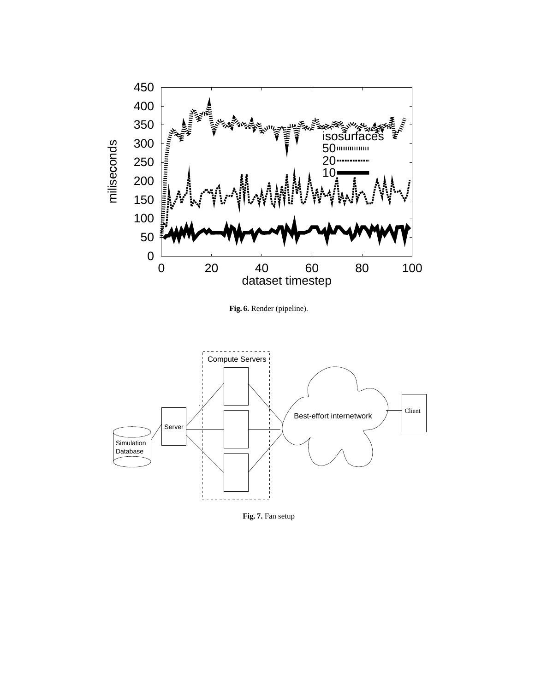

**Fig. 6.** Render (pipeline).



**Fig. 7.** Fan setup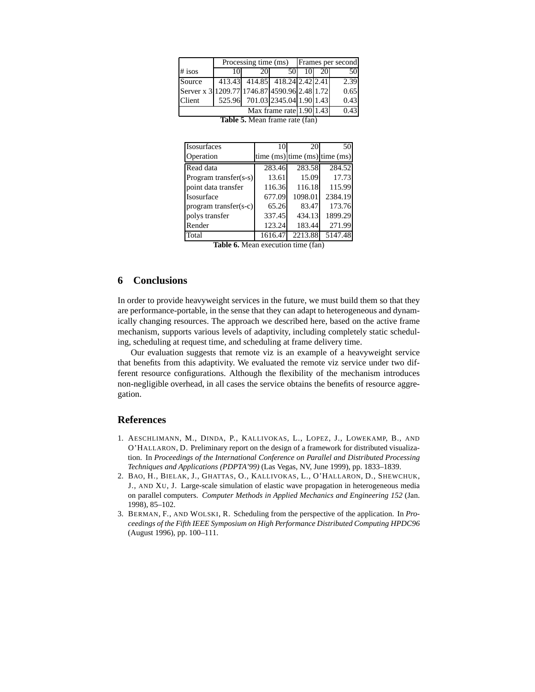|                                              | Processing time (ms) Frames per second |                 |                                 |     |     |      |
|----------------------------------------------|----------------------------------------|-----------------|---------------------------------|-----|-----|------|
| $#$ isos                                     | 10                                     | 20 <sup>1</sup> | 50I                             | 101 | 201 | 50   |
| Source                                       |                                        |                 | 413.43 414.85 418.24 2.42 2.41  |     |     | 2.39 |
| Server x 3 1209.77 1746.87 4590.96 2.48 1.72 |                                        |                 |                                 |     |     | 0.65 |
| Client                                       |                                        |                 | 525.96 701.03 2345.04 1.90 1.43 |     |     | 0.43 |
| Max frame rate $1.90 1.43 $                  |                                        |                 |                                 |     |     | 0.43 |
| Table 5. Mean frame rate (fan)               |                                        |                 |                                 |     |     |      |

| Isosurfaces             | 10      | 20      | 50                                  |
|-------------------------|---------|---------|-------------------------------------|
| Operation               |         |         | time $(ms)$ time $(ms)$ time $(ms)$ |
| Read data               | 283.46  | 283.58  | 284.52                              |
| Program transfer(s-s)   | 13.61   | 15.09   | 17.73                               |
| point data transfer     | 116.36  | 116.18  | 115.99                              |
| Isosurface              | 677.09  | 1098.01 | 2384.19                             |
| $program transfer(s-c)$ | 65.26   | 83.47   | 173.76                              |
| polys transfer          | 337.45  | 434.13  | 1899.29                             |
| Render                  | 123.24  | 183.44  | 271.99                              |
| Total                   | 1616.47 | 2213.88 | 5147.48                             |

**Table 6.** Mean execution time (fan)

# **6 Conclusions**

In order to provide heavyweight services in the future, we must build them so that they are performance-portable, in the sense that they can adapt to heterogeneous and dynamically changing resources. The approach we described here, based on the active frame mechanism, supports various levels of adaptivity, including completely static scheduling, scheduling at request time, and scheduling at frame delivery time.

Our evaluation suggests that remote viz is an example of a heavyweight service that benefits from this adaptivity. We evaluated the remote viz service under two different resource configurations. Although the flexibility of the mechanism introduces non-negligible overhead, in all cases the service obtains the benefits of resource aggregation.

## **References**

- 1. AESCHLIMANN, M., DINDA, P., KALLIVOKAS, L., LOPEZ, J., LOWEKAMP, B., AND O'HALLARON, D. Preliminary report on the design of a framework for distributed visualization. In *Proceedings of the International Conference on Parallel and Distributed Processing Techniques and Applications (PDPTA'99)* (Las Vegas, NV, June 1999), pp. 1833–1839.
- 2. BAO, H., BIELAK, J., GHATTAS, O., KALLIVOKAS, L., O'HALLARON, D., SHEWCHUK, J., AND XU, J. Large-scale simulation of elastic wave propagation in heterogeneous media on parallel computers. *Computer Methods in Applied Mechanics and Engineering 152* (Jan. 1998), 85–102.
- 3. BERMAN, F., AND WOLSKI, R. Scheduling from the perspective of the application. In *Proceedings of the Fifth IEEE Symposium on High Performance Distributed Computing HPDC96* (August 1996), pp. 100–111.